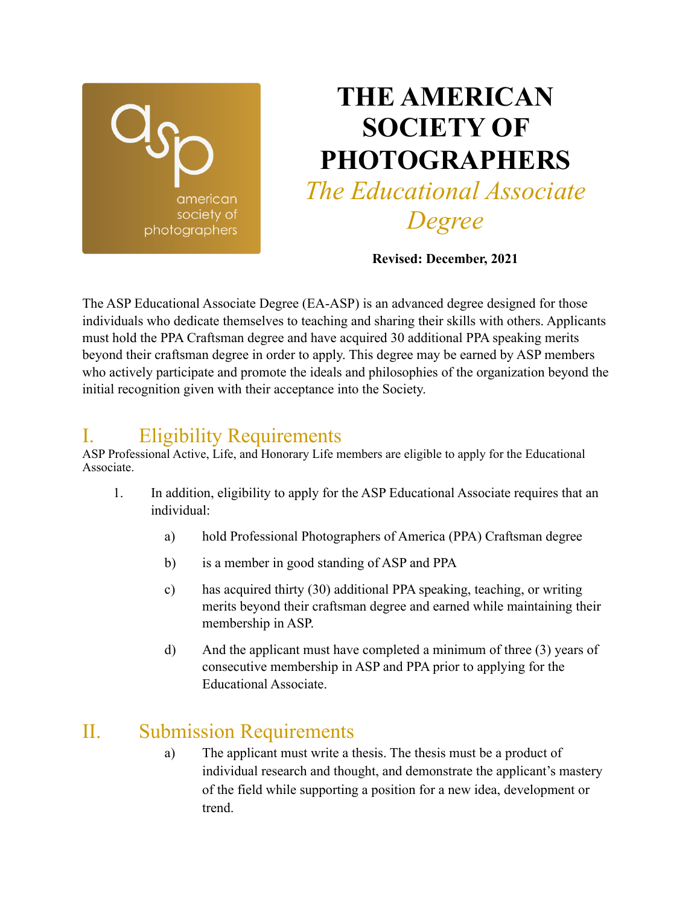

# **THE AMERICAN SOCIETY OF PHOTOGRAPHERS**  *The Educational Associate*

*Degree*

**Revised: December, 2021**

The ASP Educational Associate Degree (EA-ASP) is an advanced degree designed for those individuals who dedicate themselves to teaching and sharing their skills with others. Applicants must hold the PPA Craftsman degree and have acquired 30 additional PPA speaking merits beyond their craftsman degree in order to apply. This degree may be earned by ASP members who actively participate and promote the ideals and philosophies of the organization beyond the initial recognition given with their acceptance into the Society.

## I. Eligibility Requirements

ASP Professional Active, Life, and Honorary Life members are eligible to apply for the Educational Associate.

- 1. In addition, eligibility to apply for the ASP Educational Associate requires that an individual:
	- a) hold Professional Photographers of America (PPA) Craftsman degree
	- b) is a member in good standing of ASP and PPA
	- c) has acquired thirty (30) additional PPA speaking, teaching, or writing merits beyond their craftsman degree and earned while maintaining their membership in ASP.
	- d) And the applicant must have completed a minimum of three (3) years of consecutive membership in ASP and PPA prior to applying for the Educational Associate.

## II. Submission Requirements

a) The applicant must write a thesis. The thesis must be a product of individual research and thought, and demonstrate the applicant's mastery of the field while supporting a position for a new idea, development or trend.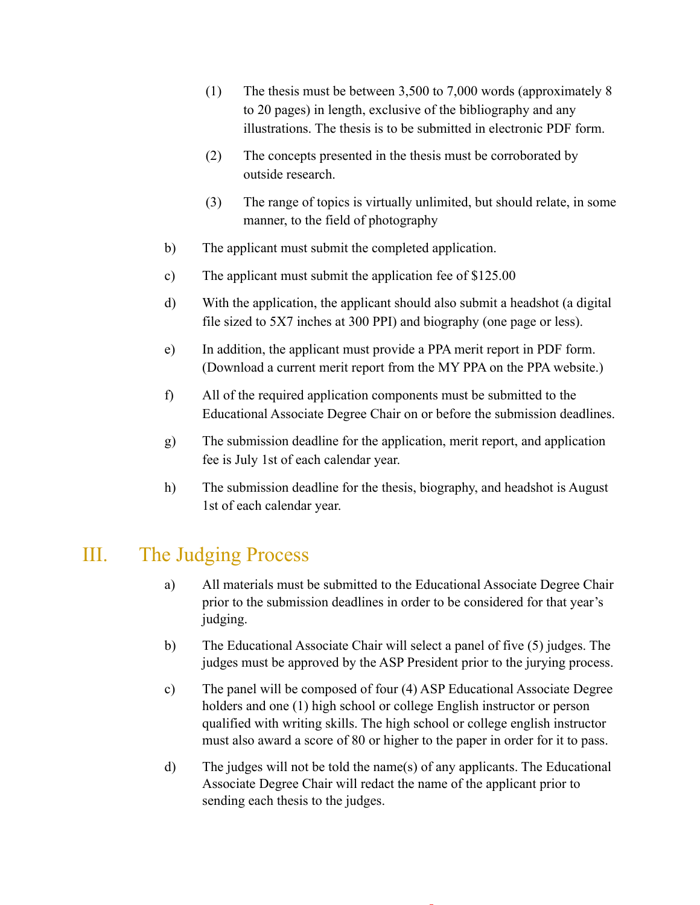- (1) The thesis must be between 3,500 to 7,000 words (approximately 8 to 20 pages) in length, exclusive of the bibliography and any illustrations. The thesis is to be submitted in electronic PDF form.
- (2) The concepts presented in the thesis must be corroborated by outside research.
- (3) The range of topics is virtually unlimited, but should relate, in some manner, to the field of photography
- b) The applicant must submit the completed application.
- c) The applicant must submit the application fee of \$125.00
- d) With the application, the applicant should also submit a headshot (a digital file sized to 5X7 inches at 300 PPI) and biography (one page or less).
- e) In addition, the applicant must provide a PPA merit report in PDF form. (Download a current merit report from the MY PPA on the PPA website.)
- f) All of the required application components must be submitted to the Educational Associate Degree Chair on or before the submission deadlines.
- g) The submission deadline for the application, merit report, and application fee is July 1st of each calendar year.
- h) The submission deadline for the thesis, biography, and headshot is August 1st of each calendar year.

#### III. The Judging Process

- a) All materials must be submitted to the Educational Associate Degree Chair prior to the submission deadlines in order to be considered for that year's judging.
- b) The Educational Associate Chair will select a panel of five (5) judges. The judges must be approved by the ASP President prior to the jurying process.
- c) The panel will be composed of four (4) ASP Educational Associate Degree holders and one (1) high school or college English instructor or person qualified with writing skills. The high school or college english instructor must also award a score of 80 or higher to the paper in order for it to pass.
- d) The judges will not be told the name(s) of any applicants. The Educational Associate Degree Chair will redact the name of the applicant prior to sending each thesis to the judges.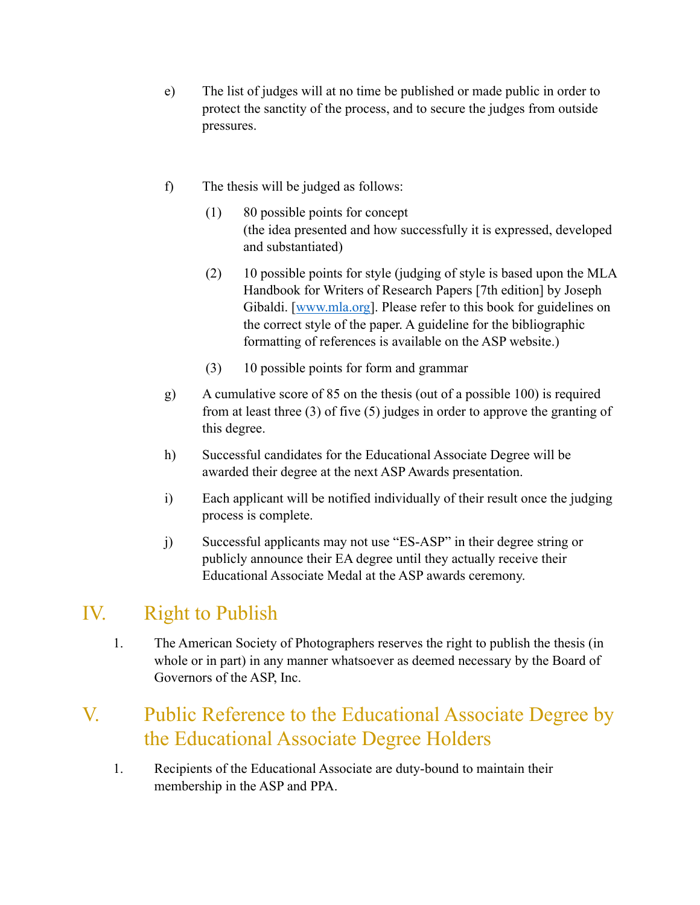- e) The list of judges will at no time be published or made public in order to protect the sanctity of the process, and to secure the judges from outside pressures.
- f) The thesis will be judged as follows:
	- (1) 80 possible points for concept (the idea presented and how successfully it is expressed, developed and substantiated)
	- (2) 10 possible points for style (judging of style is based upon the MLA Handbook for Writers of Research Papers [7th edition] by Joseph Gibaldi. [[www.mla.org\]](http://www.mla.org). Please refer to this book for guidelines on the correct style of the paper. A guideline for the bibliographic formatting of references is available on the ASP website.)
	- (3) 10 possible points for form and grammar
- g) A cumulative score of 85 on the thesis (out of a possible 100) is required from at least three (3) of five (5) judges in order to approve the granting of this degree.
- h) Successful candidates for the Educational Associate Degree will be awarded their degree at the next ASP Awards presentation.
- i) Each applicant will be notified individually of their result once the judging process is complete.
- j) Successful applicants may not use "ES-ASP" in their degree string or publicly announce their EA degree until they actually receive their Educational Associate Medal at the ASP awards ceremony.

## IV. Right to Publish

1. The American Society of Photographers reserves the right to publish the thesis (in whole or in part) in any manner whatsoever as deemed necessary by the Board of Governors of the ASP, Inc.

## V. Public Reference to the Educational Associate Degree by the Educational Associate Degree Holders

1. Recipients of the Educational Associate are duty-bound to maintain their membership in the ASP and PPA.